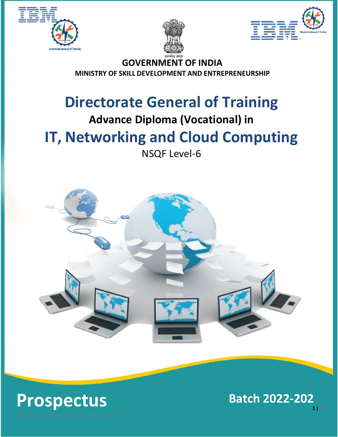





**GOVERNMENT OF INDIA MINISTRY OF SKILL DEVELOPMENT AND ENTREPRENEURSHIP**

# **Directorate General of Training**

## **Advance Diploma (Vocational) in**

## **IT, Networking and Cloud Computing**

## NSQF Level-6



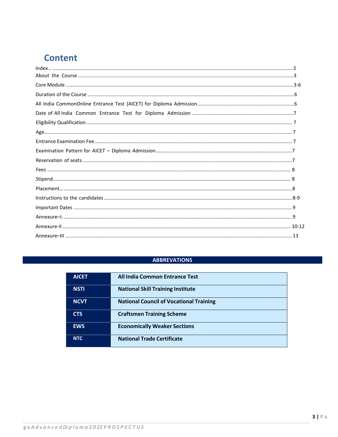## **Content**

### **ABBREVATIONS**

| <b>AICET</b> | All India Common Entrance Test                 |
|--------------|------------------------------------------------|
| <b>NSTI</b>  | <b>National Skill Training Institute</b>       |
| <b>NCVT</b>  | <b>National Council of Vocational Training</b> |
| <b>CTS</b>   | <b>Craftsmen Training Scheme</b>               |
| <b>EWS</b>   | <b>Economically Weaker Sections</b>            |
| <b>NTC</b>   | <b>National Trade Certificate</b>              |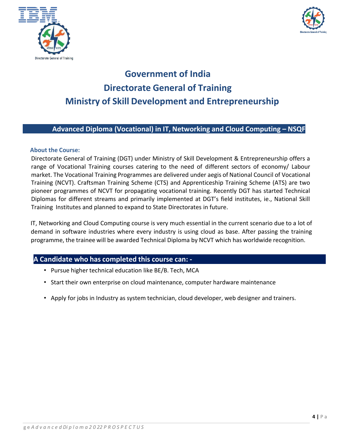



## **Government of India Directorate General of Training Ministry of Skill Development and Entrepreneurship**

## **Advanced Diploma (Vocational) in IT, Networking and Cloud Computing – NSQF**

#### <span id="page-2-0"></span>**About the Course:**

Directorate General of Training (DGT) under Ministry of Skill Development & Entrepreneurship offers a range of Vocational Training courses catering to the need of different sectors of economy/ Labour market. The Vocational Training Programmes are delivered under aegis of National Council of Vocational Training (NCVT). Craftsman Training Scheme (CTS) and Apprenticeship Training Scheme (ATS) are two pioneer programmes of NCVT for propagating vocational training. Recently DGT has started Technical Diplomas for different streams and primarily implemented at DGT's field institutes, ie., National Skill Training Institutes and planned to expand to State Directorates in future.

IT, Networking and Cloud Computing course is very much essential in the current scenario due to a lot of demand in software industries where every industry is using cloud as base. After passing the training programme, the trainee will be awarded Technical Diploma by NCVT which has worldwide recognition.

## **A Candidate who has completed this course can: -**

- Pursue higher technical education like BE/B. Tech, MCA
- Start their own enterprise on cloud maintenance, computer hardware maintenance
- Apply for jobs in Industry as system technician, cloud developer, web designer and trainers.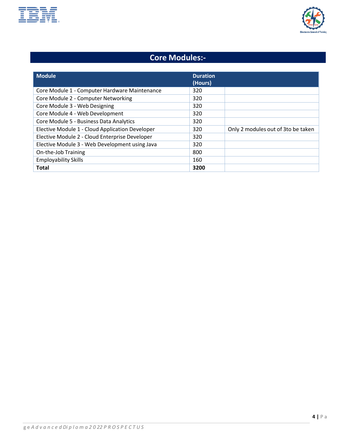



## **Core Modules:-**

| <b>Module</b>                                   | <b>Duration</b><br>(Hours) |                                    |
|-------------------------------------------------|----------------------------|------------------------------------|
| Core Module 1 - Computer Hardware Maintenance   | 320                        |                                    |
| Core Module 2 - Computer Networking             | 320                        |                                    |
| Core Module 3 - Web Designing                   | 320                        |                                    |
| Core Module 4 - Web Development                 | 320                        |                                    |
| Core Module 5 - Business Data Analytics         | 320                        |                                    |
| Elective Module 1 - Cloud Application Developer | 320                        | Only 2 modules out of 3to be taken |
| Elective Module 2 - Cloud Enterprise Developer  | 320                        |                                    |
| Elective Module 3 - Web Development using Java  | 320                        |                                    |
| On-the-Job Training                             | 800                        |                                    |
| <b>Employability Skills</b>                     | 160                        |                                    |
| <b>Total</b>                                    | 3200                       |                                    |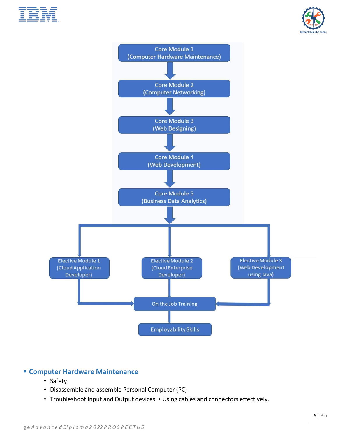





## ▪ **Computer Hardware Maintenance**

- Safety
- Disassemble and assemble Personal Computer (PC)
- Troubleshoot Input and Output devices Using cables and connectors effectively.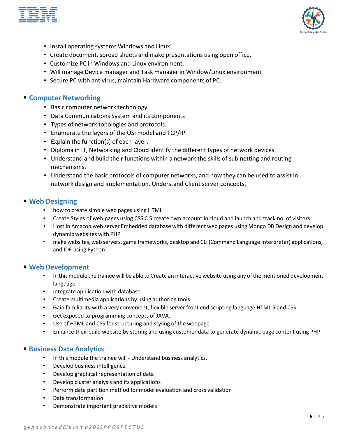



- Install operating systems Windows and Linux
- Create document, spread sheets and make presentations using open office.
- Customize PC in Windows and Linux environment.
- Will manage Device manager and Task manager in Window/Linux environment
- Secure PC with antivirus, maintain Hardware components of PC.

#### ▪ **Computer Networking**

- Basic computer network technology
- Data Communications System and its components
- Types of network topologies and protocols.
- Enumerate the layers of the OSI model and TCP/IP
- Explain the function(s) of each layer.
- Diploma in IT, Networking and Cloud identify the different types of network devices.
- Understand and build their functions within a network the skills of sub netting and routing mechanisms.
- Understand the basic protocols of computer networks, and how they can be used to assist in network design and implementation. Understand Client server concepts.

#### ▪ **Web Designing**

- how to create simple web pages using HTML
- Create Styles of web pages using CSS C 5 create own account in cloud and launch and track no. of visitors
- Host in Amazon web server Embedded database with different web pages using Mongo DB Design and develop dynamic websites with PHP
- make websites, web servers, game frameworks, desktop and CLI (Command Language Interpreter) applications, and IDE using Python

#### ▪ **Web Development**

- In thismodule the trainee will be able to Create an interactive website using any ofthe mentioned development language.
- Integrate application with database.
- Create multimedia applications by using authoring tools
- Gain familiarity with a very convenient, flexible server front end scripting language HTML 5 and CSS.
- Get exposed to programming concepts of JAVA.
- Use of HTML and CSS for structuring and styling of the webpage
- Enhance their build website by storing and using customer data to generate dynamic page content using PHP.

### ▪ **Business Data Analytics**

- In this module the trainee will Understand business analytics.
- Develop business intelligence
- Develop graphical representation of data
- Develop cluster analysis and its applications
- Perform data partition method for model evaluation and cross validation
- Data transformation
- Demonstrate important predictive models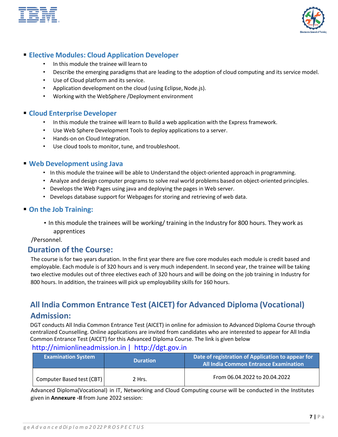



## ▪ **Elective Modules: Cloud Application Developer**

- In this module the trainee will learn to
- Describe the emerging paradigms that are leading to the adoption of cloud computing and its service model.
- Use of Cloud platform and its service.
- Application development on the cloud (using Eclipse, Node.js).
- Working with the WebSphere /Deployment environment

## ▪ **Cloud Enterprise Developer**

- In this module the trainee will learn to Build a web application with the Express framework.
- Use Web Sphere Development Tools to deploy applications to a server.
- Hands-on on Cloud Integration.
- Use cloud tools to monitor, tune, and troubleshoot.

### ▪ **Web Development using Java**

- In this module the trainee will be able to Understand the object-oriented approach in programming.
- Analyze and design computer programs to solve real world problems based on object-oriented principles.
- Develops the Web Pages using java and deploying the pages in Web server.
- Develops database support for Webpages for storing and retrieving of web data.

### ▪ **On the Job Training:**

• In this module the trainees will be working/ training in the Industry for 800 hours. They work as apprentices

/Personnel.

## <span id="page-6-0"></span>**Duration of the Course:**

The course is for two years duration. In the first year there are five core modules each module is credit based and employable. Each module is of 320 hours and is very much independent. In second year, the trainee will be taking two elective modules out of three electives each of 320 hours and will be doing on the job training in Industry for 800 hours. In addition, the trainees will pick up employability skills for 160 hours.

## **All India Common Entrance Test (AICET) for Advanced Diploma (Vocational) Admission:**

DGT conducts All India Common Entrance Test (AICET) in online for admission to Advanced Diploma Course through centralized Counselling. Online applications are invited from candidates who are interested to appear for All India Common Entrance Test (AICET) for this Advanced Diploma Course. The link is given below

## [http://nimionlineadmission.in](http://nimionlineadmission.in/) | [http://dgt.gov.in](http://dgt.gov.in/)

| <b>Examination System</b> | <b>Duration</b> | Date of registration of Application to appear for<br><b>All India Common Entrance Examination</b> |
|---------------------------|-----------------|---------------------------------------------------------------------------------------------------|
| Computer Based test (CBT) | 2 Hrs.          | From 06.04.2022 to 20.04.2022                                                                     |

Advanced Diploma(Vocational) in IT, Networking and Cloud Computing course will be conducted in the Institutes given in **Annexure -II** from June 2022 session: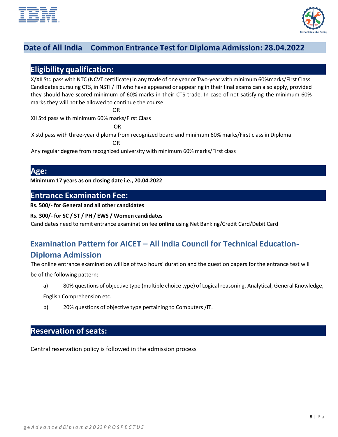



## **Date of All India Common Entrance Test for Diploma Admission: 28.04.2022**

## <span id="page-7-0"></span>**Eligibility qualification:**

X/XII Std pass with NTC (NCVT certificate) in any trade of one year or Two-year with minimum 60%marks/First Class. Candidates pursuing CTS, in NSTI / ITI who have appeared or appearing in their final exams can also apply, provided they should have scored minimum of 60% marks in their CTS trade. In case of not satisfying the minimum 60% marks they will not be allowed to continue the course.

OR

XII Std pass with minimum 60% marks/First Class

OR

X std pass with three-year diploma from recognized board and minimum 60% marks/First class in Diploma

OR

Any regular degree from recognized university with minimum 60% marks/First class

## <span id="page-7-1"></span>**Age:**

**Minimum 17 years as on closing date i.e., 20.04.2022**

## <span id="page-7-2"></span>**Entrance Examination Fee:**

**Rs. 500/- for General and all other candidates**

#### **Rs. 300/- for SC / ST / PH / EWS / Women candidates**

Candidates need to remit entrance examination fee **online** using Net Banking/Credit Card/Debit Card

## **Examination Pattern for AICET – All India Council for Technical Education-Diploma Admission**

The online entrance examination will be of two hours' duration and the question papers for the entrance test will

be of the following pattern:

- a) 80% questions of objective type (multiple choice type) of Logical reasoning, Analytical, General Knowledge, English Comprehension etc.
- b) 20% questions of objective type pertaining to Computers /IT.

## <span id="page-7-3"></span>**Reservation of seats:**

Central reservation policy is followed in the admission process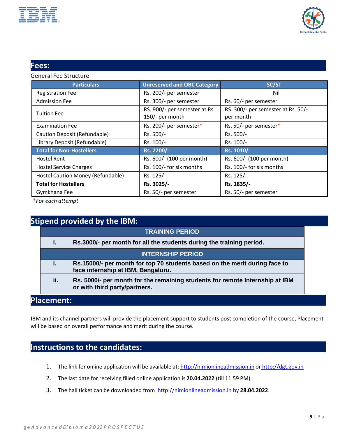



## <span id="page-8-0"></span>**Fees:**

#### General Fee Structure

| <b>Particulars</b>                | <b>Unreserved and OBC Category</b>               | SC/ST                                           |
|-----------------------------------|--------------------------------------------------|-------------------------------------------------|
| <b>Registration Fee</b>           | Rs. 200/- per semester                           | Nil                                             |
| <b>Admission Fee</b>              | Rs. 300/- per semester                           | Rs. 60/- per semester                           |
| <b>Tuition Fee</b>                | RS. 900/- per semester at Rs.<br>150/- per month | RS. 300/- per semester at Rs. 50/-<br>per month |
| <b>Examination Fee</b>            | Rs. 200/- per semester*                          | Rs. 50/- per semester*                          |
| Caution Deposit (Refundable)      | Rs. 500/-                                        | Rs. 500/-                                       |
| Library Deposit (Refundable)      | Rs. 100/-                                        | Rs. 100/-                                       |
| <b>Total for Non-Hostellers</b>   | Rs. 2200/-                                       | Rs. 1010/-                                      |
| <b>Hostel Rent</b>                | Rs. 600/- (100 per month)                        | Rs. 600/- (100 per month)                       |
| <b>Hostel Service Charges</b>     | Rs. 100/- for six months                         | Rs. 100/- for six months                        |
| Hostel Caution Money (Refundable) | Rs. 125/-                                        | Rs. 125/-                                       |
| <b>Total for Hostellers</b>       | Rs. 3025/-                                       | Rs. 1835/-                                      |
| Gymkhana Fee                      | Rs. 50/- per semester                            | Rs. 50/- per semester                           |

\**For each attempt*

## **Stipend provided by the IBM:**

|     | <b>TRAINING PERIOD</b>                                                                                           |
|-----|------------------------------------------------------------------------------------------------------------------|
|     | Rs.3000/- per month for all the students during the training period.                                             |
|     | <b>INTERNSHIP PERIOD</b>                                                                                         |
|     | Rs.15000/- per month for top 70 students based on the merit during face to<br>face internship at IBM, Bengaluru. |
| ii. | Rs. 5000/- per month for the remaining students for remote Internship at IBM<br>or with third party/partners.    |

## <span id="page-8-1"></span>**Placement:**

IBM and its channel partners will provide the placement support to students post completion of the course, Placement will be based on overall performance and merit during the course.

## <span id="page-8-2"></span>**Instructionsto the candidates:**

- 1. The link for online application will be available at: [http://nimionlineadmission.in](http://nimionlineadmission.in/) or [http://dgt.gov.in](http://dgt.gov.in/)
- 2. The last date for receiving filled online application is **20.04.2022** (till 11.59 PM).
- 3. The hall ticket can be downloaded from http://nimionlineadmission.in by **28.04.2022**.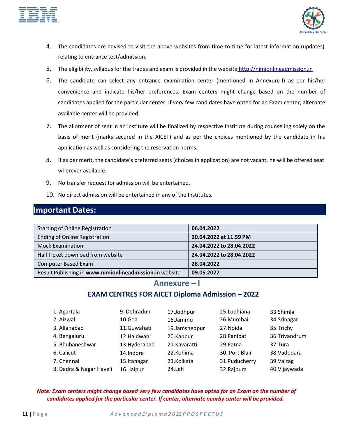



- 4. The candidates are advised to visit the above websites from time to time for latest information (updates) relating to entrance test/admission.
- 5. The eligibility, syllabus for the trades and exam is provided in the website [http://nimionlineadmission.in](http://nimionlineadmission.in/)
- 6. The candidate can select any entrance examination center (mentioned in Annexure-I) as per his/her convenience and indicate his/her preferences. Exam centers might change based on the number of candidates applied for the particular center. If very few candidates have opted for an Exam center, alternate available center will be provided.
- 7. The allotment of seat in an institute will be finalized by respective Institute during counseling solely on the basis of merit (marks secured in the AICET) and as per the choices mentioned by the candidate in his application as well as considering the reservation norms.
- 8. If as per merit, the candidate's preferred seats (choices in application) are not vacant, he will be offered seat wherever available.
- 9. No transfer request for admission will be entertained.
- 10. No direct admission will be entertained in any of the Institutes.

## <span id="page-9-0"></span>**Important Dates:**

| <b>Starting of Online Registration</b>                  | 06.04.2022               |
|---------------------------------------------------------|--------------------------|
| <b>Ending of Online Registration</b>                    | 20.04.2022 at 11.59 PM   |
| <b>Mock Examination</b>                                 | 24.04.2022 to 28.04.2022 |
| Hall Ticket download from website                       | 24.04.2022 to 28.04.2022 |
| <b>Computer Based Exam</b>                              | 28.04.2022               |
| Result Publishing in www.nimionlineadmission.in website | 09.05.2022               |

## **Annexure – I**

## **EXAM CENTRES FOR AICET Diploma Admission – 2022**

<span id="page-9-1"></span>

| 1. Agartala             | 9. Dehradun   | 17.Jodhpur    | 25.Ludhiana    | 33.Shimla     |
|-------------------------|---------------|---------------|----------------|---------------|
| 2. Aizwal               | $10.G$ oa     | 18.Jammu      | 26.Mumbai      | 34.Srinagar   |
| 3. Allahabad            | 11.Guwahati   | 19.Jamshedpur | 27. Noida      | 35.Trichy     |
| 4. Bengaluru            | 12.Haldwani   | 20.Kanpur     | 28. Panipat    | 36.Trivandrum |
| 5. Bhubaneshwar         | 13. Hyderabad | 21.Kavaratti  | 29.Patna       | 37.Tura       |
| 6. Calicut              | 14.Indore     | 22.Kohima     | 30. Port Blair | 38. Vadodara  |
| 7. Chennai              | 15.Itanagar   | 23.Kolkata    | 31.Puducherry  | 39. Vaizag    |
| 8. Dadra & Nagar Haveli | 16. Jaipur    | 24.Leh        | 32.Rajpura     | 40. Vijaywada |

#### *Note: Exam centers might change based very few candidates have opted for an Exam on the number of candidates applied for the particular center. If center, alternate nearby center will be provided.*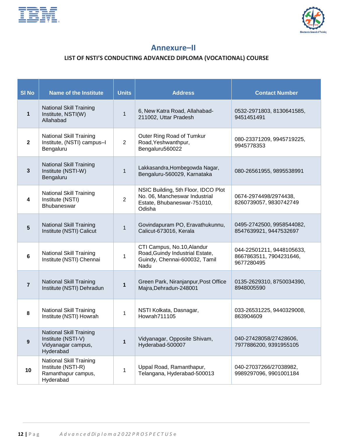<span id="page-10-0"></span>



## **Annexure–II**

## **LIST OF NSTI'S CONDUCTING ADVANCED DIPLOMA (VOCATIONAL) COURSE**

| <b>SI No</b>   | <b>Name of the Institute</b>                                                             | <b>Units</b>   | <b>Address</b>                                                                                                | <b>Contact Number</b>                                              |
|----------------|------------------------------------------------------------------------------------------|----------------|---------------------------------------------------------------------------------------------------------------|--------------------------------------------------------------------|
| $\mathbf 1$    | <b>National Skill Training</b><br>Institute, NSTI(W)<br>Allahabad                        | $\mathbf{1}$   | 6, New Katra Road, Allahabad-<br>211002, Uttar Pradesh                                                        | 0532-2971803, 8130641585,<br>9451451491                            |
| $\mathbf{2}$   | <b>National Skill Training</b><br>Institute, (NSTI) campus-I<br>Bengaluru                | $\overline{2}$ | Outer Ring Road of Tumkur<br>Road, Yeshwanthpur,<br>Bengaluru560022                                           | 080-23371209, 9945719225,<br>9945778353                            |
| $\mathbf{3}$   | <b>National Skill Training</b><br>Institute (NSTI-W)<br>Bengaluru                        | $\mathbf{1}$   | Lakkasandra, Hombegowda Nagar,<br>Bengaluru-560029, Karnataka                                                 | 080-26561955, 9895538991                                           |
| 4              | <b>National Skill Training</b><br>Institute (NSTI)<br><b>Bhubaneswar</b>                 | $\overline{2}$ | NSIC Building, 5th Floor, IDCO Plot<br>No. 06, Mancheswar Industrial<br>Estate, Bhubaneswar-751010,<br>Odisha | 0674-2974498/2974438,<br>8260739057, 9830742749                    |
| $5\phantom{.}$ | <b>National Skill Training</b><br>Institute (NSTI) Calicut                               | $\mathbf{1}$   | Govindapuram PO, Eravathukunnu,<br>Calicut-673016, Kerala                                                     | 0495-2742500, 9958544082,<br>8547639921, 9447532697                |
| 6              | <b>National Skill Training</b><br>Institute (NSTI) Chennai                               | 1              | CTI Campus, No.10, Alandur<br>Road, Guindy Industrial Estate,<br>Guindy, Chennai-600032, Tamil<br>Nadu        | 044-22501211, 9448105633,<br>8667863511, 7904231646,<br>9677280495 |
| $\overline{7}$ | <b>National Skill Training</b><br>Institute (NSTI) Dehradun                              | $\mathbf{1}$   | Green Park, Niranjanpur, Post Office<br>Majra, Dehradun-248001                                                | 0135-2629310, 8750034390,<br>8948005590                            |
| 8              | <b>National Skill Training</b><br>Institute (NSTI) Howrah                                | 1              | NSTI Kolkata, Dasnagar,<br>Howrah711105                                                                       | 033-26531225, 9440329008,<br>863904609                             |
| 9              | <b>National Skill Training</b><br>Institute (NSTI-V)<br>Vidyanagar campus,<br>Hyderabad  | $\mathbf{1}$   | Vidyanagar, Opposite Shivam,<br>Hyderabad-500007                                                              | 040-27428058/27428606,<br>7977886200, 9391955105                   |
| 10             | <b>National Skill Training</b><br>Institute (NSTI-R)<br>Ramanthapur campus,<br>Hyderabad | 1              | Uppal Road, Ramanthapur,<br>Telangana, Hyderabad-500013                                                       | 040-27037266/27038982,<br>9989297096, 9901001184                   |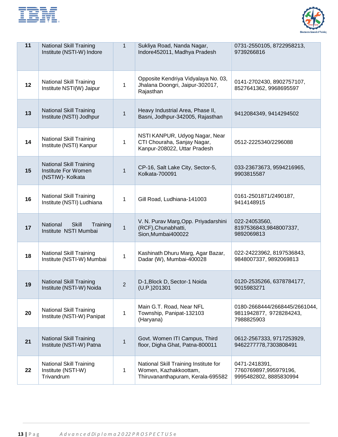| the contract of the contract of the contract of the contract of the contract of                                                                                                                                                      |  |
|--------------------------------------------------------------------------------------------------------------------------------------------------------------------------------------------------------------------------------------|--|
| the control of the control of the control of the control of                                                                                                                                                                          |  |
| the control of the control of the control of the control of the control of                                                                                                                                                           |  |
| <u>in the company's proposal and the company of the company of the company of the company of the company of the company of the company of the company of the company of the company of the company of the company of the company</u> |  |
| ______                                                                                                                                                                                                                               |  |
| the contract of the contract of the contract of the contract of the contract of the contract of the contract of                                                                                                                      |  |
| the contract of the contract of the contract of the contract of the contract of                                                                                                                                                      |  |
| ______                                                                                                                                                                                                                               |  |



| 11 | <b>National Skill Training</b><br>Institute (NSTI-W) Indore               | $\mathbf{1}$   | Sukliya Road, Nanda Nagar,<br>Indore452011, Madhya Pradesh                                          | 0731-2550105, 8722958213,<br>9739266816                                |
|----|---------------------------------------------------------------------------|----------------|-----------------------------------------------------------------------------------------------------|------------------------------------------------------------------------|
| 12 | <b>National Skill Training</b><br>Institute NSTI(W) Jaipur                | 1              | Opposite Kendriya Vidyalaya No. 03,<br>Jhalana Doongri, Jaipur-302017,<br>Rajasthan                 | 0141-2702430, 8902757107,<br>8527641362, 9968695597                    |
| 13 | <b>National Skill Training</b><br>Institute (NSTI) Jodhpur                | $\mathbf{1}$   | Heavy Industrial Area, Phase II,<br>Basni, Jodhpur-342005, Rajasthan                                | 9412084349, 9414294502                                                 |
| 14 | <b>National Skill Training</b><br>Institute (NSTI) Kanpur                 | 1              | NSTI KANPUR, Udyog Nagar, Near<br>CTI Chouraha, Sanjay Nagar,<br>Kanpur-208022, Uttar Pradesh       | 0512-2225340/2296088                                                   |
| 15 | <b>National Skill Training</b><br>Institute For Women<br>(NSTIW)- Kolkata | $\mathbf{1}$   | CP-16, Salt Lake City, Sector-5,<br><b>Kolkata-700091</b>                                           | 033-23673673, 9594216965,<br>9903815587                                |
| 16 | <b>National Skill Training</b><br>Institute (NSTI) Ludhiana               | 1              | Gill Road, Ludhiana-141003                                                                          | 0161-2501871/2490187,<br>9414148915                                    |
| 17 | <b>Skill</b><br>National<br>Training<br>Institute NSTI Mumbai             | $\mathbf{1}$   | V. N. Purav Marg, Opp. Priyadarshini<br>(RCF), Chunabhatti,<br>Sion, Mumbai400022                   | 022-24053560,<br>8197536843,9848007337,<br>9892069813                  |
| 18 | <b>National Skill Training</b><br>Institute (NSTI-W) Mumbai               | $\mathbf{1}$   | Kashinath Dhuru Marg, Agar Bazar,<br>Dadar (W), Mumbai-400028                                       | 022-24223962, 8197536843,<br>9848007337, 9892069813                    |
| 19 | <b>National Skill Training</b><br>Institute (NSTI-W) Noida                | $\overline{2}$ | D-1, Block D, Sector-1 Noida<br>(U.P.)201301                                                        | 0120-2535266, 6378784177,<br>9015983271                                |
| 20 | <b>National Skill Training</b><br>Institute (NSTI-W) Panipat              | 1              | Main G.T. Road, Near NFL<br>Township, Panipat-132103<br>(Haryana)                                   | 0180-2668444/2668445/2661044,<br>9811942877, 9728284243,<br>7988825903 |
| 21 | <b>National Skill Training</b><br>Institute (NSTI-W) Patna                | $\mathbf{1}$   | Govt. Women ITI Campus, Third<br>floor, Digha Ghat, Patna-800011                                    | 0612-2567333, 9717253929,<br>9462277778,7303808491                     |
| 22 | <b>National Skill Training</b><br>Institute (NSTI-W)<br>Trivandrum        | 1              | National Skill Training Institute for<br>Women, Kazhakkoottam,<br>Thiruvananthapuram, Kerala-695582 | 0471-2418391,<br>7760769897,995979196,<br>9995482802, 8885830994       |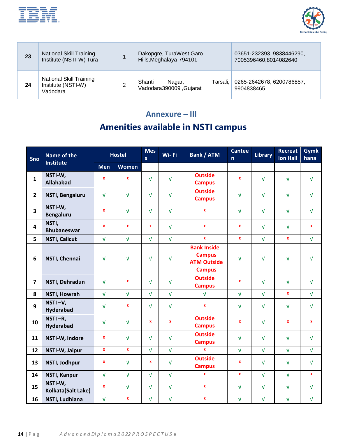



| 23 | <b>National Skill Training</b><br>Institute (NSTI-W) Tura        | Dakopgre, TuraWest Garo<br>Hills, Meghalaya-794101      | 03651-232393, 9838446290,<br>7005396460,8014082640 |
|----|------------------------------------------------------------------|---------------------------------------------------------|----------------------------------------------------|
| 24 | <b>National Skill Training</b><br>Institute (NSTI-W)<br>Vadodara | Shanti<br>Tarsali.<br>Nagar,<br>Vadodara390009, Gujarat | 0265-2642678, 6200786857,<br>9904838465            |

## **Annexure – III Amenities available in NSTI campus**

<span id="page-12-0"></span>

| Sno                     | <b>Name of the</b><br><b>Institute</b> | <b>Hostel</b> |              | <b>Mes</b><br>$\mathsf{s}$ | Wi-Fi        | <b>Bank / ATM</b>                                                          | <b>Cantee</b><br>$\mathsf{n}$ | Library    | <b>Recreat</b><br>ion Hall | <b>Gymk</b><br>hana |
|-------------------------|----------------------------------------|---------------|--------------|----------------------------|--------------|----------------------------------------------------------------------------|-------------------------------|------------|----------------------------|---------------------|
|                         |                                        | <b>Men</b>    | <b>Women</b> |                            |              |                                                                            |                               |            |                            |                     |
| $\mathbf{1}$            | NSTI-W,<br><b>Allahabad</b>            | $\pmb{\chi}$  | $\pmb{\chi}$ | $\sqrt{ }$                 | $\sqrt{ }$   | <b>Outside</b><br><b>Campus</b>                                            | $\mathbf{x}$                  | $\sqrt{ }$ | $\sqrt{ }$                 | $\sqrt{ }$          |
| $\overline{2}$          | <b>NSTI, Bengaluru</b>                 | $\sqrt{ }$    | $\sqrt{ }$   | $\sqrt{ }$                 | $\sqrt{ }$   | <b>Outside</b><br><b>Campus</b>                                            | $\sqrt{ }$                    | $\sqrt{ }$ | $\sqrt{ }$                 | $\sqrt{ }$          |
| 3                       | NSTI-W,<br><b>Bengaluru</b>            | $\mathbf{x}$  | $\sqrt{ }$   | $\sqrt{ }$                 | $\sqrt{ }$   | $\pmb{\chi}$                                                               | $\sqrt{ }$                    | $\sqrt{ }$ | $\sqrt{ }$                 | $\sqrt{ }$          |
| $\overline{\mathbf{4}}$ | NSTI,<br><b>Bhubaneswar</b>            | $\pmb{\chi}$  | $\pmb{\chi}$ | $\mathbf{x}$               | $\sqrt{ }$   | $\pmb{\chi}$                                                               | $\mathbf{x}$                  | $\sqrt{ }$ | $\sqrt{ }$                 | $\mathbf{x}$        |
| 5                       | <b>NSTI, Calicut</b>                   | $\sqrt{ }$    | $\sqrt{ }$   | $\sqrt{ }$                 | $\sqrt{ }$   | $\pmb{\chi}$                                                               | $\mathbf{x}$                  | $\sqrt{ }$ | $\pmb{\chi}$               | $\sqrt{ }$          |
| $6\phantom{1}$          | NSTI, Chennai                          | $\sqrt{ }$    | $\sqrt{ }$   | $\sqrt{ }$                 | $\sqrt{ }$   | <b>Bank Inside</b><br><b>Campus</b><br><b>ATM Outside</b><br><b>Campus</b> | $\sqrt{ }$                    | $\sqrt{ }$ | $\sqrt{ }$                 | $\sqrt{ }$          |
| $\overline{7}$          | NSTI, Dehradun                         | $\sqrt{ }$    | $\pmb{\chi}$ | $\sqrt{ }$                 | $\sqrt{ }$   | <b>Outside</b><br><b>Campus</b>                                            | $\mathbf{x}$                  | $\sqrt{ }$ | $\sqrt{ }$                 | $\sqrt{ }$          |
| 8                       | <b>NSTI, Howrah</b>                    | $\sqrt{ }$    | $\sqrt{ }$   | $\sqrt{ }$                 | $\sqrt{ }$   | $\sqrt{ }$                                                                 | $\sqrt{ }$                    | $\sqrt{ }$ | $\pmb{\chi}$               | $\sqrt{ }$          |
| 9                       | NSTI-V,<br><b>Hyderabad</b>            | $\sqrt{ }$    | $\pmb{\chi}$ | $\sqrt{ }$                 | $\sqrt{ }$   | $\pmb{\chi}$                                                               | $\sqrt{ }$                    | $\sqrt{ }$ | $\sqrt{ }$                 | $\sqrt{ }$          |
| 10                      | NSTI-R,<br><b>Hyderabad</b>            | $\sqrt{ }$    | $\sqrt{ }$   | $\pmb{\chi}$               | $\pmb{\chi}$ | <b>Outside</b><br><b>Campus</b>                                            | $\mathbf{x}$                  | $\sqrt{ }$ | $\pmb{\chi}$               | $\mathbf{x}$        |
| 11                      | NSTI-W, Indore                         | $\pmb{\chi}$  | $\sqrt{ }$   | $\sqrt{ }$                 | $\sqrt{ }$   | <b>Outside</b><br><b>Campus</b>                                            | $\sqrt{ }$                    | $\sqrt{ }$ | $\sqrt{ }$                 | $\sqrt{ }$          |
| 12                      | NSTI-W, Jaipur                         | $\mathbf{x}$  | $\mathbf{x}$ | $\sqrt{ }$                 | $\sqrt{ }$   | $\mathbf{x}$                                                               | $\sqrt{ }$                    | $\sqrt{ }$ | $\sqrt{ }$                 | $\sqrt{ }$          |
| 13                      | NSTI, Jodhpur                          | X             | $\sqrt{ }$   | $\mathbf{x}$               | $\sqrt{ }$   | <b>Outside</b><br><b>Campus</b>                                            | $\pmb{\chi}$                  | $\sqrt{ }$ | $\sqrt{ }$                 | $\sqrt{ }$          |
| 14                      | <b>NSTI, Kanpur</b>                    | $\sqrt{ }$    | $\sqrt{ }$   | $\sqrt{ }$                 | $\sqrt{ }$   | $\pmb{\chi}$                                                               | $\mathbf{x}$                  | $\sqrt{ }$ | $\sqrt{ }$                 | $\pmb{\chi}$        |
| 15                      | NSTI-W,<br>Kolkata(Salt Lake)          | $\pmb{\chi}$  | $\sqrt{ }$   | $\sqrt{ }$                 | $\sqrt{ }$   | $\pmb{\chi}$                                                               | $\sqrt{ }$                    | $\sqrt{ }$ | $\sqrt{ }$                 | $\sqrt{ }$          |
| 16                      | NSTI, Ludhiana                         | $\sqrt{ }$    | $\mathbf{x}$ | $\sqrt{ }$                 | $\sqrt{ }$   | $\pmb{\chi}$                                                               | $\sqrt{ }$                    | $\sqrt{ }$ | $\sqrt{ }$                 | $\sqrt{ }$          |